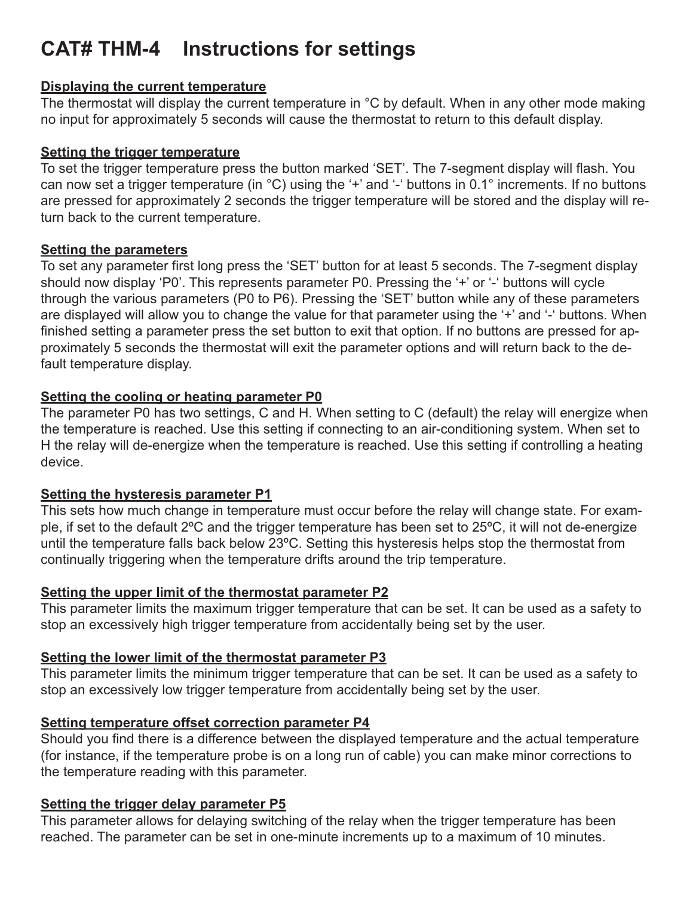# **CAT# THM-4 Instructions for settings**

#### **Displaying the current temperature**

The thermostat will display the current temperature in °C by default. When in any other mode making no input for approximately 5 seconds will cause the thermostat to return to this default display.

#### **Setting the trigger temperature**

To set the trigger temperature press the button marked 'SET'. The 7-segment display will flash. You can now set a trigger temperature (in °C) using the '+' and '-' buttons in 0.1° increments. If no buttons are pressed for approximately 2 seconds the trigger temperature will be stored and the display will return back to the current temperature.

## **Setting the parameters**

To set any parameter first long press the 'SET' button for at least 5 seconds. The 7-segment display should now display 'P0'. This represents parameter P0. Pressing the '+' or '-' buttons will cycle through the various parameters (P0 to P6). Pressing the 'SET' button while any of these parameters are displayed will allow you to change the value for that parameter using the '+' and '-' buttons. When finished setting a parameter press the set button to exit that option. If no buttons are pressed for approximately 5 seconds the thermostat will exit the parameter options and will return back to the default temperature display.

## **Setting the cooling or heating parameter P0**

The parameter P0 has two settings, C and H. When setting to C (default) the relay will energize when the temperature is reached. Use this setting if connecting to an air-conditioning system. When set to H the relay will de-energize when the temperature is reached. Use this setting if controlling a heating device.

## **Setting the hysteresis parameter P1**

This sets how much change in temperature must occur before the relay will change state. For example, if set to the default 2ºC and the trigger temperature has been set to 25ºC, it will not de-energize until the temperature falls back below 23ºC. Setting this hysteresis helps stop the thermostat from continually triggering when the temperature drifts around the trip temperature.

# **Setting the upper limit of the thermostat parameter P2**

This parameter limits the maximum trigger temperature that can be set. It can be used as a safety to stop an excessively high trigger temperature from accidentally being set by the user.

# **Setting the lower limit of the thermostat parameter P3**

This parameter limits the minimum trigger temperature that can be set. It can be used as a safety to stop an excessively low trigger temperature from accidentally being set by the user.

# **Setting temperature offset correction parameter P4**

Should you find there is a difference between the displayed temperature and the actual temperature (for instance, if the temperature probe is on a long run of cable) you can make minor corrections to the temperature reading with this parameter.

## **Setting the trigger delay parameter P5**

This parameter allows for delaying switching of the relay when the trigger temperature has been reached. The parameter can be set in one-minute increments up to a maximum of 10 minutes.